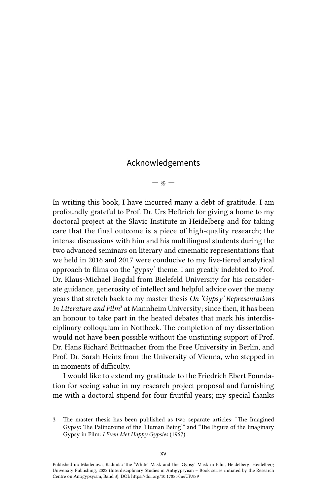## Acknowledgements

— ※ —

In writing this book, I have incurred many a debt of gratitude. I am profoundly grateful to Prof. Dr. Urs Heftrich for giving a home to my doctoral project at the Slavic Institute in Heidelberg and for taking care that the final outcome is a piece of high-quality research; the intense discussions with him and his multilingual students during the two advanced seminars on literary and cinematic representations that we held in 2016 and 2017 were conducive to my five-tiered analytical approach to films on the 'gypsy' theme. I am greatly indebted to Prof. Dr. Klaus-Michael Bogdal from Bielefeld University for his considerate guidance, generosity of intellect and helpful advice over the many years that stretch back to my master thesis *On 'Gypsy' Representations in Literature and Film*3 at Mannheim University; since then, it has been an honour to take part in the heated debates that mark his interdisciplinary colloquium in Nottbeck. The completion of my dissertation would not have been possible without the unstinting support of Prof. Dr. Hans Richard Brittnacher from the Free University in Berlin, and Prof. Dr. Sarah Heinz from the University of Vienna, who stepped in in moments of difficulty.

I would like to extend my gratitude to the Friedrich Ebert Foundation for seeing value in my research project proposal and furnishing me with a doctoral stipend for four fruitful years; my special thanks

<sup>3</sup> The master thesis has been published as two separate articles: "The Imagined Gypsy: The Palindrome of the 'Human Being'" and "The Figure of the Imaginary Gypsy in Film: *I Even Met Happy Gypsies* (1967)".

Published in: Mladenova, Radmila: The 'White' Mask and the 'Gypsy' Mask in Film, Heidelberg: Heidelberg University Publishing, 2022 (Interdisciplinary Studies in Antigypsyism – Book series initiated by the Research Centre on Antigypsyism, Band 3). DOI:<https://doi.org/10.17885/heiUP.989>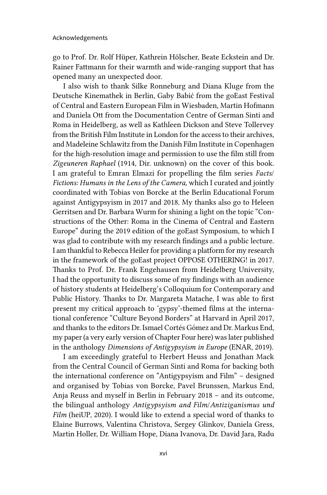go to Prof. Dr. Rolf Hüper, Kathrein Hölscher, Beate Eckstein and Dr. Rainer Fattmann for their warmth and wide-ranging support that has opened many an unexpected door.

I also wish to thank Silke Ronneburg and Diana Kluge from the Deutsche Kinemathek in Berlin, Gaby Babić from the goEast Festival of Central and Eastern European Film in Wiesbaden, Martin Hofmann and Daniela Ott from the Documentation Centre of German Sinti and Roma in Heidelberg, as well as Kathleen Dickson and Steve Tollervey from the British Film Institute in London for the access to their archives, and Madeleine Schlawitz from the Danish Film Institute in Copenhagen for the high-resolution image and permission to use the film still from *Zigeuneren Raphael* (1914, Dir. unknown) on the cover of this book. I am grateful to Emran Elmazi for propelling the film series *Facts*/ *Fictions: Humans in the Lens of the Camera,* which I curated and jointly coordinated with Tobias von Borcke at the Berlin Educational Forum against Antigypsyism in 2017 and 2018. My thanks also go to Heleen Gerritsen and Dr. Barbara Wurm for shining a light on the topic "Constructions of the Other: Roma in the Cinema of Central and Eastern Europe" during the 2019 edition of the goEast Symposium, to which I was glad to contribute with my research findings and a public lecture. I am thankful to Rebecca Heiler for providing a platform for my research in the framework of the goEast project OPPOSE OTHERING! in 2017. Thanks to Prof. Dr. Frank Engehausen from Heidelberg University, I had the opportunity to discuss some of my findings with an audience of history students at Heidelberg's Colloquium for Contemporary and Public History. Thanks to Dr. Margareta Matache, I was able to first present my critical approach to 'gypsy'-themed films at the international conference "Culture Beyond Borders" at Harvard in April 2017, and thanks to the editors Dr. Ismael Cortés Gómez and Dr. Markus End, my paper (a very early version of Chapter Four here) was later published in the anthology *Dimensions of Antigypsyism in Europe* (ENAR, 2019).

I am exceedingly grateful to Herbert Heuss and Jonathan Mack from the Central Council of German Sinti and Roma for backing both the international conference on "Antigypsyism and Film" – designed and organised by Tobias von Borcke, Pavel Brunssen, Markus End, Anja Reuss and myself in Berlin in February 2018 – and its outcome, the bilingual anthology *Antigypsyism and Film*/*Antiziganismus und Film* (heiUP, 2020). I would like to extend a special word of thanks to Elaine Burrows, Valentina Christova, Sergey Glinkov, Daniela Gress, Martin Holler, Dr. William Hope, Diana Ivanova, Dr. David Jara, Radu